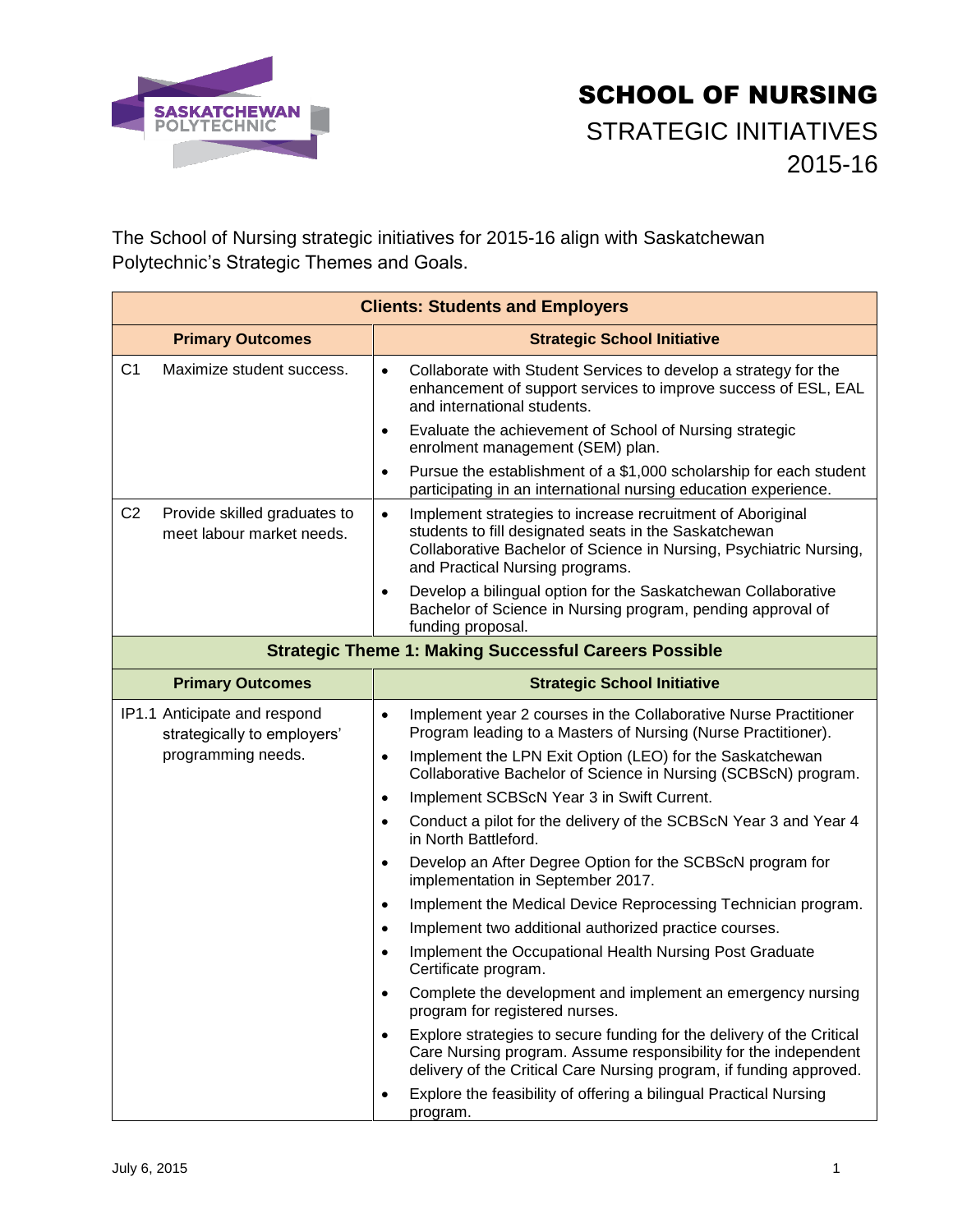

## SCHOOL OF NURSING STRATEGIC INITIATIVES 2015-16

The School of Nursing strategic initiatives for 2015-16 align with Saskatchewan Polytechnic's Strategic Themes and Goals.

| <b>Clients: Students and Employers</b>                                      |                                                                                                                                                                                                                                           |  |
|-----------------------------------------------------------------------------|-------------------------------------------------------------------------------------------------------------------------------------------------------------------------------------------------------------------------------------------|--|
| <b>Primary Outcomes</b>                                                     | <b>Strategic School Initiative</b>                                                                                                                                                                                                        |  |
| C <sub>1</sub><br>Maximize student success.                                 | Collaborate with Student Services to develop a strategy for the<br>$\bullet$<br>enhancement of support services to improve success of ESL, EAL<br>and international students.                                                             |  |
|                                                                             | Evaluate the achievement of School of Nursing strategic<br>enrolment management (SEM) plan.                                                                                                                                               |  |
|                                                                             | Pursue the establishment of a \$1,000 scholarship for each student<br>$\bullet$<br>participating in an international nursing education experience.                                                                                        |  |
| C <sub>2</sub><br>Provide skilled graduates to<br>meet labour market needs. | Implement strategies to increase recruitment of Aboriginal<br>$\bullet$<br>students to fill designated seats in the Saskatchewan<br>Collaborative Bachelor of Science in Nursing, Psychiatric Nursing,<br>and Practical Nursing programs. |  |
|                                                                             | Develop a bilingual option for the Saskatchewan Collaborative<br>$\bullet$<br>Bachelor of Science in Nursing program, pending approval of<br>funding proposal.                                                                            |  |
| <b>Strategic Theme 1: Making Successful Careers Possible</b>                |                                                                                                                                                                                                                                           |  |
| <b>Primary Outcomes</b>                                                     | <b>Strategic School Initiative</b>                                                                                                                                                                                                        |  |
| IP1.1 Anticipate and respond<br>strategically to employers'                 | Implement year 2 courses in the Collaborative Nurse Practitioner<br>$\bullet$<br>Program leading to a Masters of Nursing (Nurse Practitioner).                                                                                            |  |
| programming needs.                                                          | Implement the LPN Exit Option (LEO) for the Saskatchewan<br>$\bullet$<br>Collaborative Bachelor of Science in Nursing (SCBScN) program.                                                                                                   |  |
|                                                                             | Implement SCBScN Year 3 in Swift Current.<br>$\bullet$                                                                                                                                                                                    |  |
|                                                                             | Conduct a pilot for the delivery of the SCBScN Year 3 and Year 4<br>$\bullet$<br>in North Battleford.                                                                                                                                     |  |
|                                                                             | Develop an After Degree Option for the SCBScN program for<br>$\bullet$<br>implementation in September 2017.                                                                                                                               |  |
|                                                                             | Implement the Medical Device Reprocessing Technician program.                                                                                                                                                                             |  |
|                                                                             | Implement two additional authorized practice courses.<br>$\bullet$                                                                                                                                                                        |  |
|                                                                             | Implement the Occupational Health Nursing Post Graduate<br>$\bullet$<br>Certificate program.                                                                                                                                              |  |
|                                                                             | Complete the development and implement an emergency nursing<br>program for registered nurses.                                                                                                                                             |  |
|                                                                             | Explore strategies to secure funding for the delivery of the Critical<br>Care Nursing program. Assume responsibility for the independent<br>delivery of the Critical Care Nursing program, if funding approved.                           |  |
|                                                                             | Explore the feasibility of offering a bilingual Practical Nursing<br>program.                                                                                                                                                             |  |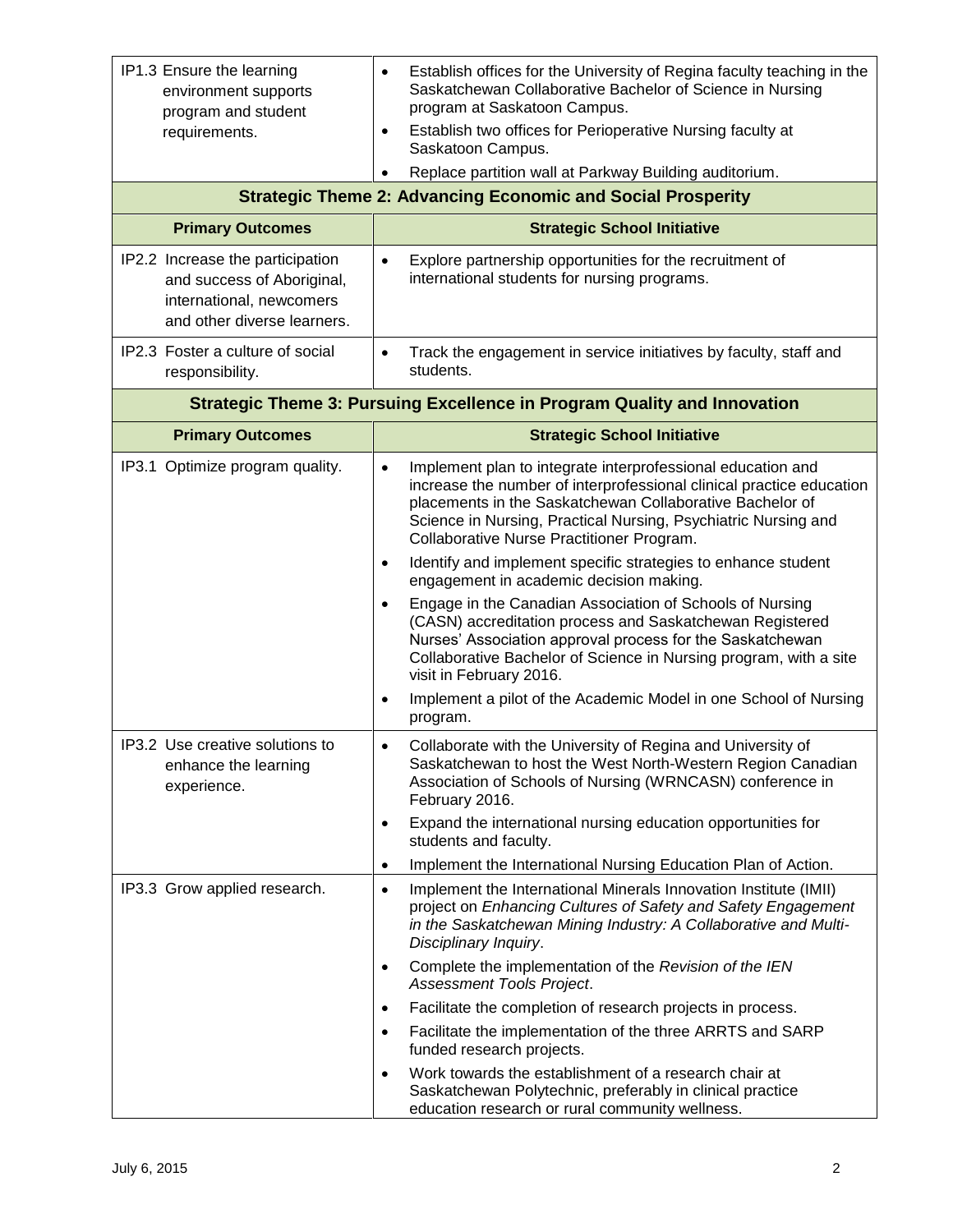| IP1.3 Ensure the learning<br>environment supports<br>program and student                                                  | Establish offices for the University of Regina faculty teaching in the<br>$\bullet$<br>Saskatchewan Collaborative Bachelor of Science in Nursing<br>program at Saskatoon Campus.                                                                                                                                            |  |  |
|---------------------------------------------------------------------------------------------------------------------------|-----------------------------------------------------------------------------------------------------------------------------------------------------------------------------------------------------------------------------------------------------------------------------------------------------------------------------|--|--|
| requirements.                                                                                                             | Establish two offices for Perioperative Nursing faculty at<br>$\bullet$<br>Saskatoon Campus.                                                                                                                                                                                                                                |  |  |
|                                                                                                                           | Replace partition wall at Parkway Building auditorium.<br>$\bullet$                                                                                                                                                                                                                                                         |  |  |
| <b>Strategic Theme 2: Advancing Economic and Social Prosperity</b>                                                        |                                                                                                                                                                                                                                                                                                                             |  |  |
| <b>Primary Outcomes</b>                                                                                                   | <b>Strategic School Initiative</b>                                                                                                                                                                                                                                                                                          |  |  |
| IP2.2 Increase the participation<br>and success of Aboriginal,<br>international, newcomers<br>and other diverse learners. | Explore partnership opportunities for the recruitment of<br>$\bullet$<br>international students for nursing programs.                                                                                                                                                                                                       |  |  |
| IP2.3 Foster a culture of social<br>responsibility.                                                                       | Track the engagement in service initiatives by faculty, staff and<br>$\bullet$<br>students.                                                                                                                                                                                                                                 |  |  |
| <b>Strategic Theme 3: Pursuing Excellence in Program Quality and Innovation</b>                                           |                                                                                                                                                                                                                                                                                                                             |  |  |
| <b>Primary Outcomes</b>                                                                                                   | <b>Strategic School Initiative</b>                                                                                                                                                                                                                                                                                          |  |  |
| IP3.1 Optimize program quality.                                                                                           | Implement plan to integrate interprofessional education and<br>$\bullet$<br>increase the number of interprofessional clinical practice education<br>placements in the Saskatchewan Collaborative Bachelor of<br>Science in Nursing, Practical Nursing, Psychiatric Nursing and<br>Collaborative Nurse Practitioner Program. |  |  |
|                                                                                                                           | Identify and implement specific strategies to enhance student<br>$\bullet$<br>engagement in academic decision making.                                                                                                                                                                                                       |  |  |
|                                                                                                                           | Engage in the Canadian Association of Schools of Nursing<br>(CASN) accreditation process and Saskatchewan Registered<br>Nurses' Association approval process for the Saskatchewan<br>Collaborative Bachelor of Science in Nursing program, with a site<br>visit in February 2016.                                           |  |  |
|                                                                                                                           | Implement a pilot of the Academic Model in one School of Nursing<br>program.                                                                                                                                                                                                                                                |  |  |
| IP3.2 Use creative solutions to<br>enhance the learning<br>experience.                                                    | Collaborate with the University of Regina and University of<br>Saskatchewan to host the West North-Western Region Canadian<br>Association of Schools of Nursing (WRNCASN) conference in<br>February 2016.                                                                                                                   |  |  |
|                                                                                                                           | Expand the international nursing education opportunities for<br>$\bullet$<br>students and faculty.                                                                                                                                                                                                                          |  |  |
|                                                                                                                           | Implement the International Nursing Education Plan of Action.<br>$\bullet$                                                                                                                                                                                                                                                  |  |  |
| IP3.3 Grow applied research.                                                                                              | Implement the International Minerals Innovation Institute (IMII)<br>$\bullet$<br>project on Enhancing Cultures of Safety and Safety Engagement<br>in the Saskatchewan Mining Industry: A Collaborative and Multi-<br>Disciplinary Inquiry.                                                                                  |  |  |
|                                                                                                                           | Complete the implementation of the Revision of the IEN<br>$\bullet$<br>Assessment Tools Project.                                                                                                                                                                                                                            |  |  |
|                                                                                                                           | Facilitate the completion of research projects in process.<br>$\bullet$                                                                                                                                                                                                                                                     |  |  |
|                                                                                                                           | Facilitate the implementation of the three ARRTS and SARP<br>$\bullet$<br>funded research projects.                                                                                                                                                                                                                         |  |  |
|                                                                                                                           | Work towards the establishment of a research chair at<br>$\bullet$<br>Saskatchewan Polytechnic, preferably in clinical practice<br>education research or rural community wellness.                                                                                                                                          |  |  |